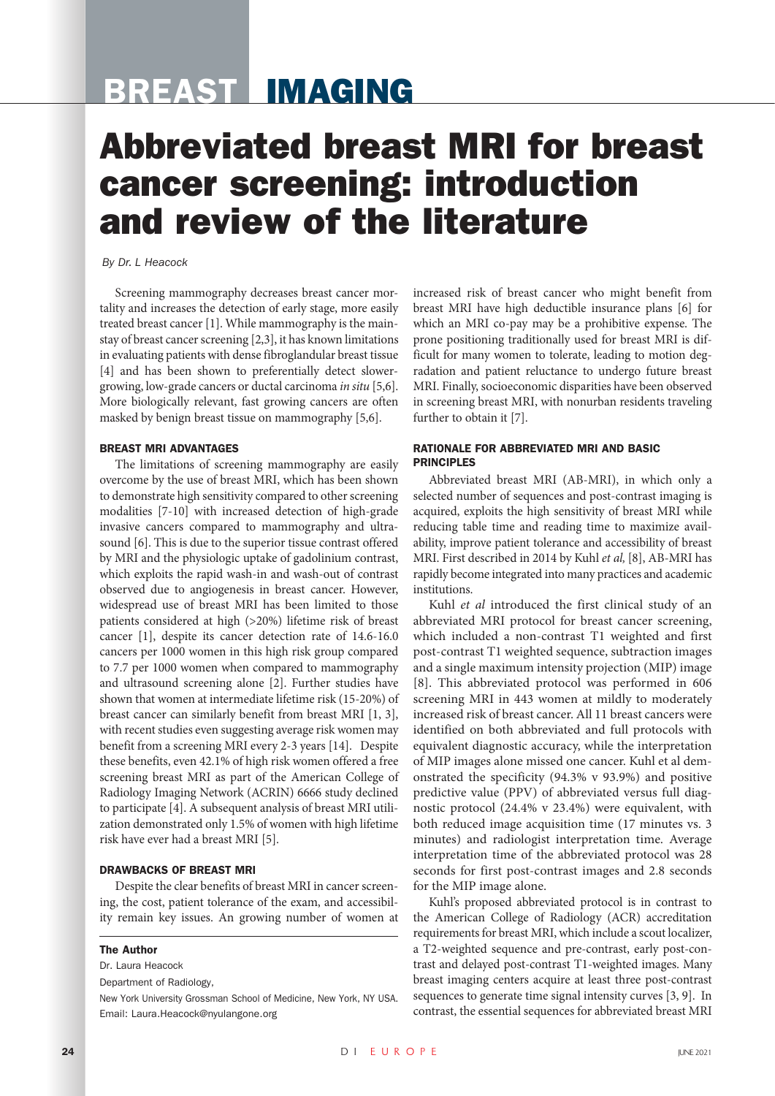# BREAST IMAGING

# Abbreviated breast MRI for breast cancer screening: introduction and review of the literature

### *By Dr. L Heacock*

Screening mammography decreases breast cancer mortality and increases the detection of early stage, more easily treated breast cancer [1]. While mammography is the mainstay of breast cancer screening [2,3], it has known limitations in evaluating patients with dense fibroglandular breast tissue [4] and has been shown to preferentially detect slowergrowing, low-grade cancers or ductal carcinoma *in situ* [5,6]. More biologically relevant, fast growing cancers are often masked by benign breast tissue on mammography [5,6].

#### BREAST MRI ADVANTAGES

The limitations of screening mammography are easily overcome by the use of breast MRI, which has been shown to demonstrate high sensitivity compared to other screening modalities [7-10] with increased detection of high-grade invasive cancers compared to mammography and ultrasound [6]. This is due to the superior tissue contrast offered by MRI and the physiologic uptake of gadolinium contrast, which exploits the rapid wash-in and wash-out of contrast observed due to angiogenesis in breast cancer. However, widespread use of breast MRI has been limited to those patients considered at high (>20%) lifetime risk of breast cancer [1], despite its cancer detection rate of 14.6-16.0 cancers per 1000 women in this high risk group compared to 7.7 per 1000 women when compared to mammography and ultrasound screening alone [2]. Further studies have shown that women at intermediate lifetime risk (15-20%) of breast cancer can similarly benefit from breast MRI [1, 3], with recent studies even suggesting average risk women may benefit from a screening MRI every 2-3 years [14]. Despite these benefits, even 42.1% of high risk women offered a free screening breast MRI as part of the American College of Radiology Imaging Network (ACRIN) 6666 study declined to participate [4]. A subsequent analysis of breast MRI utilization demonstrated only 1.5% of women with high lifetime risk have ever had a breast MRI [5].

#### DRAWBACKS OF BREAST MRI

Despite the clear benefits of breast MRI in cancer screening, the cost, patient tolerance of the exam, and accessibility remain key issues. An growing number of women at

#### The Author

Dr. Laura Heacock

Department of Radiology,

New York University Grossman School of Medicine, New York, NY USA. Email: Laura.Heacock@nyulangone.org

increased risk of breast cancer who might benefit from breast MRI have high deductible insurance plans [6] for which an MRI co-pay may be a prohibitive expense. The prone positioning traditionally used for breast MRI is difficult for many women to tolerate, leading to motion degradation and patient reluctance to undergo future breast MRI. Finally, socioeconomic disparities have been observed in screening breast MRI, with nonurban residents traveling further to obtain it [7].

### RATIONALE FOR ABBREVIATED MRI AND BASIC PRINCIPLES

Abbreviated breast MRI (AB-MRI), in which only a selected number of sequences and post-contrast imaging is acquired, exploits the high sensitivity of breast MRI while reducing table time and reading time to maximize availability, improve patient tolerance and accessibility of breast MRI. First described in 2014 by Kuhl *et al,* [8], AB-MRI has rapidly become integrated into many practices and academic institutions.

Kuhl *et al* introduced the first clinical study of an abbreviated MRI protocol for breast cancer screening, which included a non-contrast T1 weighted and first post-contrast T1 weighted sequence, subtraction images and a single maximum intensity projection (MIP) image [8]. This abbreviated protocol was performed in 606 screening MRI in 443 women at mildly to moderately increased risk of breast cancer. All 11 breast cancers were identified on both abbreviated and full protocols with equivalent diagnostic accuracy, while the interpretation of MIP images alone missed one cancer. Kuhl et al demonstrated the specificity (94.3% v 93.9%) and positive predictive value (PPV) of abbreviated versus full diagnostic protocol (24.4% v 23.4%) were equivalent, with both reduced image acquisition time (17 minutes vs. 3 minutes) and radiologist interpretation time. Average interpretation time of the abbreviated protocol was 28 seconds for first post-contrast images and 2.8 seconds for the MIP image alone.

Kuhl's proposed abbreviated protocol is in contrast to the American College of Radiology (ACR) accreditation requirements for breast MRI, which include a scout localizer, a T2-weighted sequence and pre-contrast, early post-contrast and delayed post-contrast T1-weighted images. Many breast imaging centers acquire at least three post-contrast sequences to generate time signal intensity curves [3, 9]. In contrast, the essential sequences for abbreviated breast MRI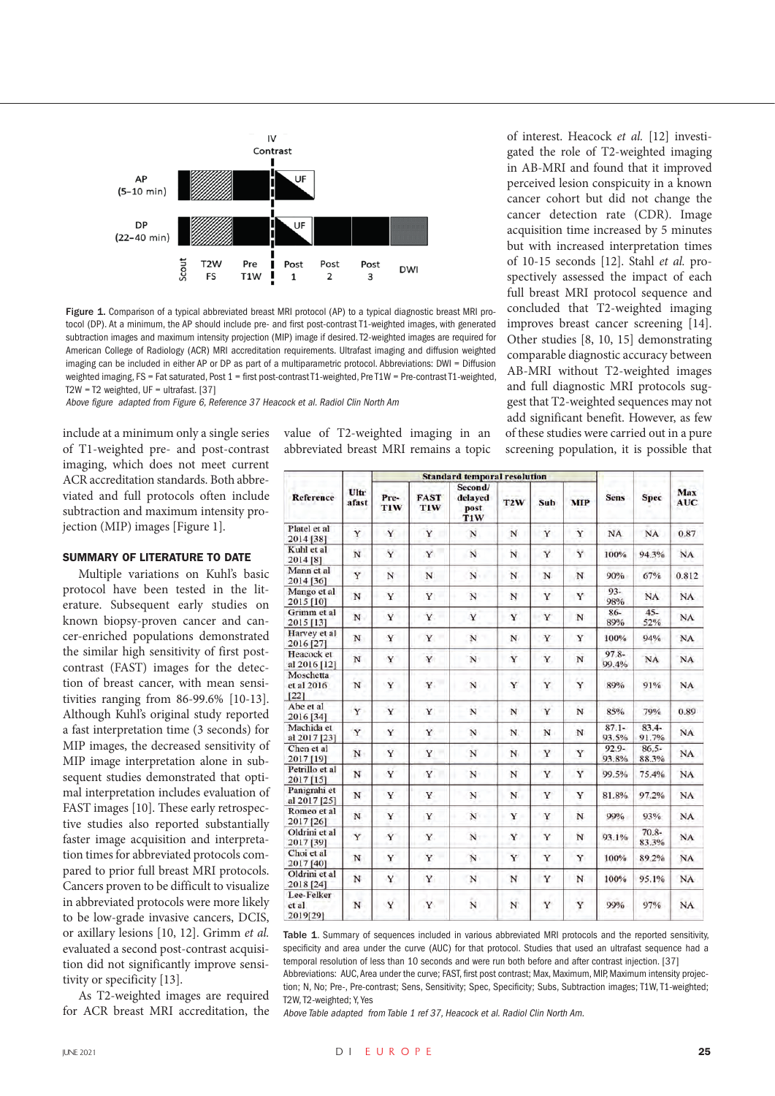

Figure 1. Comparison of a typical abbreviated breast MRI protocol (AP) to a typical diagnostic breast MRI protocol (DP). At a minimum, the AP should include pre- and first post-contrast T1-weighted images, with generated subtraction images and maximum intensity projection (MIP) image if desired. T2-weighted images are required for American College of Radiology (ACR) MRI accreditation requirements. Ultrafast imaging and diffusion weighted imaging can be included in either AP or DP as part of a multiparametric protocol. Abbreviations: DWI = Diffusion weighted imaging, FS = Fat saturated, Post 1 = first post-contrast T1-weighted, Pre T1W = Pre-contrast T1-weighted, T2W = T2 weighted,  $UF = ultrafast. [37]$ 

Above figure adapted from Figure 6, Reference 37 Heacock et al. Radiol Clin North Am

include at a minimum only a single series of T1-weighted pre- and post-contrast imaging, which does not meet current ACR accreditation standards. Both abbreviated and full protocols often include subtraction and maximum intensity projection (MIP) images [Figure 1].

# SUMMARY OF LITERATURE TO DATE

Multiple variations on Kuhl's basic protocol have been tested in the literature. Subsequent early studies on known biopsy-proven cancer and cancer-enriched populations demonstrated the similar high sensitivity of first postcontrast (FAST) images for the detection of breast cancer, with mean sensitivities ranging from 86-99.6% [10-13]. Although Kuhl's original study reported a fast interpretation time (3 seconds) for MIP images, the decreased sensitivity of MIP image interpretation alone in subsequent studies demonstrated that optimal interpretation includes evaluation of FAST images [10]. These early retrospective studies also reported substantially faster image acquisition and interpretation times for abbreviated protocols compared to prior full breast MRI protocols. Cancers proven to be difficult to visualize in abbreviated protocols were more likely to be low-grade invasive cancers, DCIS, or axillary lesions [10, 12]. Grimm *et al.* evaluated a second post-contrast acquisition did not significantly improve sensitivity or specificity [13].

As T2-weighted images are required for ACR breast MRI accreditation, the value of T2-weighted imaging in an abbreviated breast MRI remains a topic

| Reference                       | Ultr<br>afast |                                                |                    |                        |                  |           |            |                   |                   |                   |
|---------------------------------|---------------|------------------------------------------------|--------------------|------------------------|------------------|-----------|------------|-------------------|-------------------|-------------------|
|                                 |               | <b>Standard temporal resolution</b><br>Second/ |                    |                        |                  |           |            |                   |                   |                   |
|                                 |               | Pre-<br><b>TIW</b>                             | <b>FAST</b><br>TIW | delayed<br>post<br>T1W | T <sub>2</sub> W | Sub       | <b>MIP</b> | <b>Sens</b>       | <b>Spec</b>       | Max<br><b>AUC</b> |
| Platel et al<br>2014 [38]       | Y             | Y                                              | Y<br>۵I            | $_{\rm N}$             | N                | Y         | Y          | NA                | <b>NA</b>         | 0.87              |
| Kuhl et al<br>2014 [8]          | $\mathbf N$   | Y                                              | $\mathbf Y$        | $\mathbf N$            | $\mathbf N$      | Y         | Y          | 100%              | 94.3%             | NA                |
| Mann et al<br>2014 [36]         | Y             | N                                              | N                  | N                      | N                | ${\bf N}$ | $_{\rm N}$ | 90%               | 67%               | 0.812             |
| Mango et al<br>2015 [10]        | N             | Y                                              | Y                  | N                      | N                | Y         | Y          | $93 -$<br>98%     | <b>NA</b>         | <b>NA</b>         |
| Grimm et al<br>2015 [13]        | N             | Ÿ                                              | Y.                 | Y                      | Y                | Y         | N          | 86-<br>89%        | $45 -$<br>52%     | NA                |
| Harvey et al<br>2016 [27]       | N             | Y                                              | Y                  | N                      | N                | Y         | Y          | 100%              | 94%               | NA                |
| Heacock et<br>al 2016 [12]      | N             | Y                                              | Y                  | N                      | Y                | Y         | N          | $97.8 -$<br>99.4% | NA                | NA                |
| Moschetta<br>et al 2016<br>[22] | N             | $\mathbf Y$                                    | Y.                 | N                      | Y                | Y         | Y          | 89%               | 91%               | NA                |
| Abe et al<br>2016 [34]          | Y             | Y                                              | Y                  | N                      | $_{\rm N}$       | Y         | N          | 85%               | 79%               | 0.89              |
| Machida et<br>al 2017 [23]      | Y             | Y                                              | Y.                 | N                      | N                | N         | N          | $87.1 -$<br>93.5% | $83.4-$<br>91.7%  | NA                |
| Chen et al<br>2017 [19]         | N.            | Y                                              | Y                  | N                      | N                | Y         | Y          | $92.9 -$<br>93.8% | $86.5-$<br>88.3%  | NA                |
| Petrillo et al<br>2017 [15]     | N             | Y                                              | Y.                 | N<br>٠                 | $_{\rm N}$       | Y         | Y          | 99.5%             | 75.4%             | NA                |
| Panigrahi et<br>al 2017 [25]    | N             | Y                                              | Y                  | N                      | N                | Y         | Y          | 81.8%             | 97.2%             | <b>NA</b>         |
| Romeo et al<br>2017 [26]        | N             | Y                                              | Y                  | N                      | Y                | Y         | N          | 99%               | 93%               | NA                |
| Oldrini et al<br>2017 [39]      | Y             | Y                                              | Y                  | N                      | Y                | Y         | N          | 93.1%             | $70.8 -$<br>83.3% | NA                |
| Choi et al<br>2017 [40]         | $\mathbf N$   | Y                                              | Y                  | N                      | Y                | Y         | Y          | 100%              | 89.2%             | NA                |
| Oldrini et al<br>2018 [24]      | N             | Y                                              | Y                  | N                      | N                | Y         | N          | 100%              | 95.1%             | NA                |
| Lee-Felker<br>et al<br>2019[29] | N             | Y                                              | Y                  | N                      | $_{\rm N}$       | Y         | Y          | 99%               | 97%               | NA                |

Table 1. Summary of sequences included in various abbreviated MRI protocols and the reported sensitivity, specificity and area under the curve (AUC) for that protocol. Studies that used an ultrafast sequence had a temporal resolution of less than 10 seconds and were run both before and after contrast injection. [37]

Abbreviations: AUC, Area under the curve; FAST, first post contrast; Max, Maximum, MIP, Maximum intensity projection; N, No; Pre-, Pre-contrast; Sens, Sensitivity; Spec, Specificity; Subs, Subtraction images; T1W, T1-weighted; T2W, T2-weighted; Y, Yes

Above Table adapted from Table 1 ref 37, Heacock et al. Radiol Clin North Am.

of interest. Heacock *et al.* [12] investigated the role of T2-weighted imaging in AB-MRI and found that it improved perceived lesion conspicuity in a known cancer cohort but did not change the cancer detection rate (CDR). Image acquisition time increased by 5 minutes but with increased interpretation times of 10-15 seconds [12]. Stahl *et al.* prospectively assessed the impact of each full breast MRI protocol sequence and concluded that T2-weighted imaging improves breast cancer screening [14]. Other studies [8, 10, 15] demonstrating comparable diagnostic accuracy between AB-MRI without T2-weighted images and full diagnostic MRI protocols suggest that T2-weighted sequences may not add significant benefit. However, as few of these studies were carried out in a pure screening population, it is possible that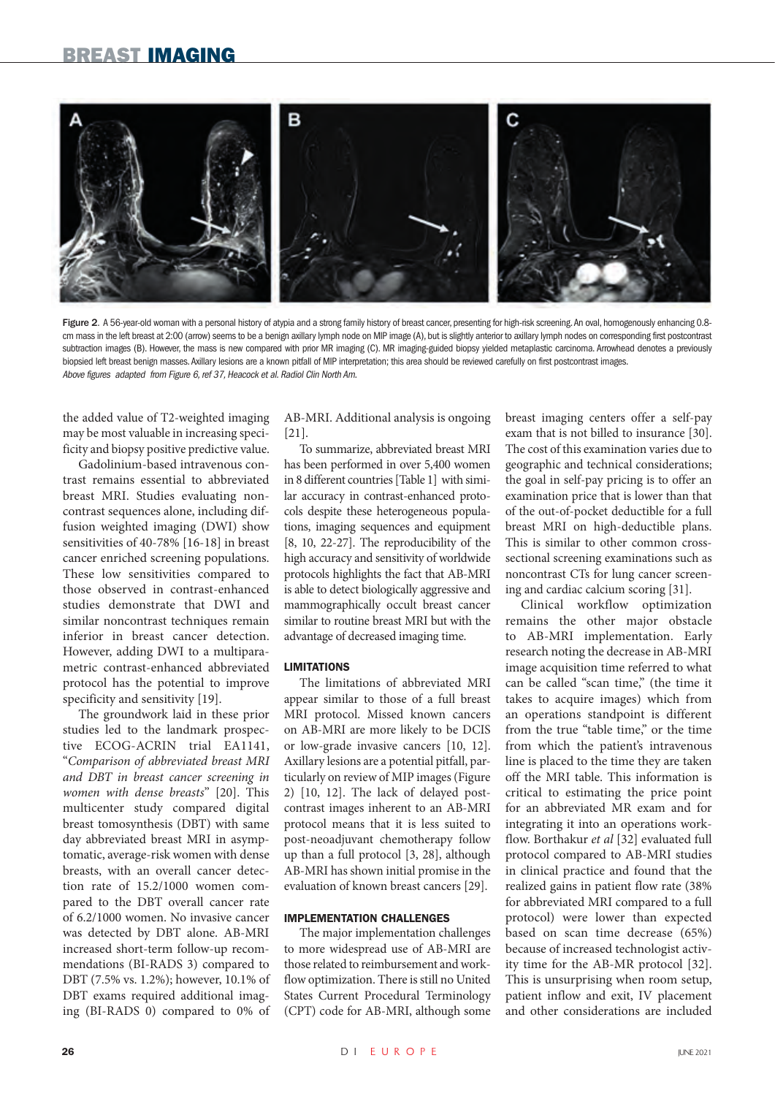# BREAST IMAGING



Figure 2. A 56-year-old woman with a personal history of atypia and a strong family history of breast cancer, presenting for high-risk screening. An oval, homogenously enhancing 0.8cm mass in the left breast at 2:00 (arrow) seems to be a benign axillary lymph node on MIP image (A), but is slightly anterior to axillary lymph nodes on corresponding first postcontrast subtraction images (B). However, the mass is new compared with prior MR imaging (C). MR imaging-guided biopsy yielded metaplastic carcinoma. Arrowhead denotes a previously biopsied left breast benign masses. Axillary lesions are a known pitfall of MIP interpretation; this area should be reviewed carefully on first postcontrast images. Above figures adapted from Figure 6, ref 37, Heacock et al. Radiol Clin North Am.

the added value of T2-weighted imaging may be most valuable in increasing specificity and biopsy positive predictive value.

Gadolinium-based intravenous contrast remains essential to abbreviated breast MRI. Studies evaluating noncontrast sequences alone, including diffusion weighted imaging (DWI) show sensitivities of 40-78% [16-18] in breast cancer enriched screening populations. These low sensitivities compared to those observed in contrast-enhanced studies demonstrate that DWI and similar noncontrast techniques remain inferior in breast cancer detection. However, adding DWI to a multiparametric contrast-enhanced abbreviated protocol has the potential to improve specificity and sensitivity [19].

The groundwork laid in these prior studies led to the landmark prospective ECOG-ACRIN trial EA1141, "*Comparison of abbreviated breast MRI and DBT in breast cancer screening in women with dense breasts*" [20]. This multicenter study compared digital breast tomosynthesis (DBT) with same day abbreviated breast MRI in asymptomatic, average-risk women with dense breasts, with an overall cancer detection rate of 15.2/1000 women compared to the DBT overall cancer rate of 6.2/1000 women. No invasive cancer was detected by DBT alone. AB-MRI increased short-term follow-up recommendations (BI-RADS 3) compared to DBT (7.5% vs. 1.2%); however, 10.1% of DBT exams required additional imaging (BI-RADS 0) compared to 0% of AB-MRI. Additional analysis is ongoing [21].

To summarize, abbreviated breast MRI has been performed in over 5,400 women in 8 different countries [Table 1] with similar accuracy in contrast-enhanced protocols despite these heterogeneous populations, imaging sequences and equipment [8, 10, 22-27]. The reproducibility of the high accuracy and sensitivity of worldwide protocols highlights the fact that AB-MRI is able to detect biologically aggressive and mammographically occult breast cancer similar to routine breast MRI but with the advantage of decreased imaging time.

#### **LIMITATIONS**

The limitations of abbreviated MRI appear similar to those of a full breast MRI protocol. Missed known cancers on AB-MRI are more likely to be DCIS or low-grade invasive cancers [10, 12]. Axillary lesions are a potential pitfall, particularly on review of MIP images (Figure 2) [10, 12]. The lack of delayed postcontrast images inherent to an AB-MRI protocol means that it is less suited to post-neoadjuvant chemotherapy follow up than a full protocol [3, 28], although AB-MRI has shown initial promise in the evaluation of known breast cancers [29].

### IMPLEMENTATION CHALLENGES

The major implementation challenges to more widespread use of AB-MRI are those related to reimbursement and workflow optimization. There is still no United States Current Procedural Terminology (CPT) code for AB-MRI, although some

breast imaging centers offer a self-pay exam that is not billed to insurance [30]. The cost of this examination varies due to geographic and technical considerations; the goal in self-pay pricing is to offer an examination price that is lower than that of the out-of-pocket deductible for a full breast MRI on high-deductible plans. This is similar to other common crosssectional screening examinations such as noncontrast CTs for lung cancer screening and cardiac calcium scoring [31].

Clinical workflow optimization remains the other major obstacle to AB-MRI implementation. Early research noting the decrease in AB-MRI image acquisition time referred to what can be called "scan time," (the time it takes to acquire images) which from an operations standpoint is different from the true "table time," or the time from which the patient's intravenous line is placed to the time they are taken off the MRI table. This information is critical to estimating the price point for an abbreviated MR exam and for integrating it into an operations workflow. Borthakur *et al* [32] evaluated full protocol compared to AB-MRI studies in clinical practice and found that the realized gains in patient flow rate (38% for abbreviated MRI compared to a full protocol) were lower than expected based on scan time decrease (65%) because of increased technologist activity time for the AB-MR protocol [32]. This is unsurprising when room setup, patient inflow and exit, IV placement and other considerations are included